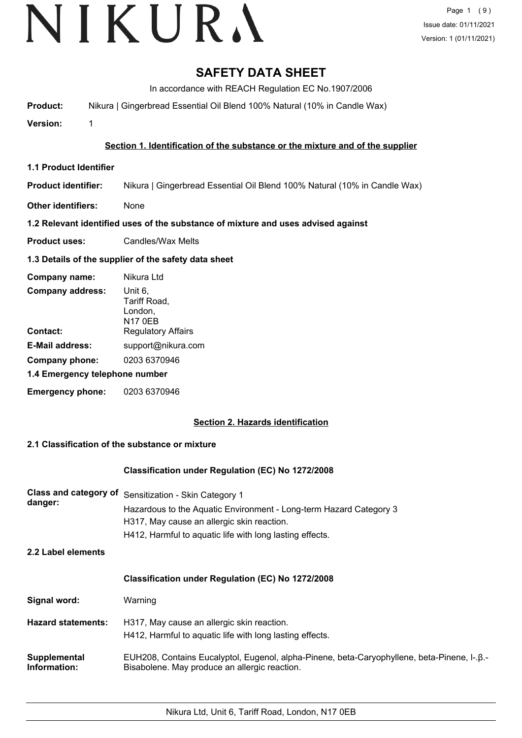# **SAFETY DATA SHEET**

In accordance with REACH Regulation EC No.1907/2006

**Product:** Nikura | Gingerbread Essential Oil Blend 100% Natural (10% in Candle Wax)

**Version:** 1

### **Section 1. Identification of the substance or the mixture and of the supplier**

- **1.1 Product Identifier**
- **Product identifier:** Nikura | Gingerbread Essential Oil Blend 100% Natural (10% in Candle Wax)
- **Other identifiers:** None

### **1.2 Relevant identified uses of the substance of mixture and uses advised against**

**Product uses:** Candles/Wax Melts

### **1.3 Details of the supplier of the safety data sheet**

| Company name:                  | Nikura Ltd                                           |
|--------------------------------|------------------------------------------------------|
| <b>Company address:</b>        | Unit 6,<br>Tariff Road,<br>London,<br><b>N17 0EB</b> |
| Contact:                       | <b>Regulatory Affairs</b>                            |
| <b>E-Mail address:</b>         | support@nikura.com                                   |
| Company phone:                 | 0203 6370946                                         |
| 1.4 Emergency telephone number |                                                      |
| <b>Emergency phone:</b>        | 0203 6370946                                         |

## **Section 2. Hazards identification**

## **2.1 Classification of the substance or mixture**

#### **Classification under Regulation (EC) No 1272/2008**

| Class and category of<br>danger: | Sensitization - Skin Category 1<br>Hazardous to the Aquatic Environment - Long-term Hazard Category 3<br>H317, May cause an allergic skin reaction.<br>H412, Harmful to aquatic life with long lasting effects. |  |
|----------------------------------|-----------------------------------------------------------------------------------------------------------------------------------------------------------------------------------------------------------------|--|
| 2.2 Label elements               |                                                                                                                                                                                                                 |  |
|                                  | Classification under Regulation (EC) No 1272/2008                                                                                                                                                               |  |
| Signal word:                     | Warning                                                                                                                                                                                                         |  |
| <b>Hazard statements:</b>        | H317, May cause an allergic skin reaction.<br>H412, Harmful to aquatic life with long lasting effects.                                                                                                          |  |
| Supplemental<br>Information:     | EUH208, Contains Eucalyptol, Eugenol, alpha-Pinene, beta-Caryophyllene, beta-Pinene, I-. B.-<br>Bisabolene. May produce an allergic reaction.                                                                   |  |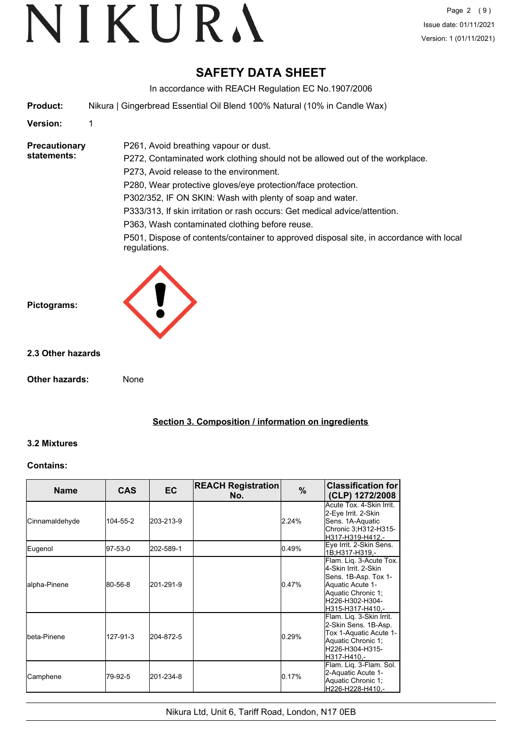# **SAFETY DATA SHEET**

In accordance with REACH Regulation EC No.1907/2006

**Product:** Nikura | Gingerbread Essential Oil Blend 100% Natural (10% in Candle Wax)

P261, Avoid breathing vapour or dust.

**Version:** 1

**Precautionary statements:**

P272, Contaminated work clothing should not be allowed out of the workplace. P273, Avoid release to the environment. P280, Wear protective gloves/eye protection/face protection. P302/352, IF ON SKIN: Wash with plenty of soap and water. P333/313, If skin irritation or rash occurs: Get medical advice/attention.

P363, Wash contaminated clothing before reuse.

P501, Dispose of contents/container to approved disposal site, in accordance with local regulations.



### **2.3 Other hazards**

**Other hazards:** None

**Section 3. Composition / information on ingredients**

#### **3.2 Mixtures**

#### **Contains:**

| <b>Name</b>          | <b>CAS</b> | <b>EC</b> | <b>REACH Registration</b><br>No. | %     | <b>Classification for</b><br>(CLP) 1272/2008                                                                                                             |
|----------------------|------------|-----------|----------------------------------|-------|----------------------------------------------------------------------------------------------------------------------------------------------------------|
| Cinnamaldehyde       | 104-55-2   | 203-213-9 |                                  | 2.24% | Acute Tox. 4-Skin Irrit.<br>2-Eye Irrit. 2-Skin<br>Sens. 1A-Aquatic<br>Chronic 3;H312-H315-<br>H317-H319-H412.-                                          |
| Eugenol              | 197-53-0   | 202-589-1 |                                  | 0.49% | Eye Irrit. 2-Skin Sens.<br>1B:H317-H319.-                                                                                                                |
| alpha-Pinene         | 80-56-8    | 201-291-9 |                                  | 0.47% | Flam. Lig. 3-Acute Tox.<br>4-Skin Irrit, 2-Skin<br>Sens. 1B-Asp. Tox 1-<br>Aquatic Acute 1-<br>Aquatic Chronic 1;<br>H226-H302-H304-<br>H315-H317-H410,- |
| <b>I</b> beta-Pinene | 127-91-3   | 204-872-5 |                                  | 0.29% | Flam. Liq. 3-Skin Irrit.<br>2-Skin Sens. 1B-Asp.<br>Tox 1-Aquatic Acute 1-<br>Aquatic Chronic 1;<br>H226-H304-H315-<br>H317-H410,-                       |
| Camphene             | 79-92-5    | 201-234-8 |                                  | 0.17% | Flam. Lig. 3-Flam. Sol.<br>2-Aquatic Acute 1-<br>Aquatic Chronic 1;<br>H226-H228-H410,-                                                                  |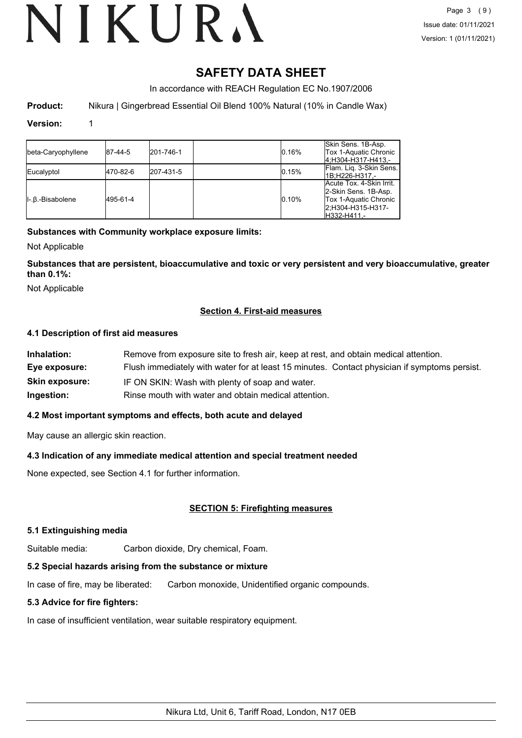# **SAFETY DATA SHEET**

In accordance with REACH Regulation EC No.1907/2006

**Product:** Nikura | Gingerbread Essential Oil Blend 100% Natural (10% in Candle Wax)

#### **Version:** 1

| beta-Caryophyllene | 187-44-5 | 201-746-1 | 0.16% | Skin Sens. 1B-Asp.<br>Tox 1-Aquatic Chronic<br>4.H304-H317-H413.-                                                    |
|--------------------|----------|-----------|-------|----------------------------------------------------------------------------------------------------------------------|
| Eucalyptol         | 470-82-6 | 207-431-5 | 0.15% | Flam. Lig. 3-Skin Sens.<br>1B:H226-H317.-                                                                            |
| II-.B.-Bisabolene  | 495-61-4 |           | 0.10% | Acute Tox. 4-Skin Irrit.<br>2-Skin Sens. 1B-Asp.<br><b>Tox 1-Aquatic Chronic</b><br>2:H304-H315-H317-<br>H332-H411.- |

#### **Substances with Community workplace exposure limits:**

Not Applicable

**Substances that are persistent, bioaccumulative and toxic or very persistent and very bioaccumulative, greater than 0.1%:**

Not Applicable

### **Section 4. First-aid measures**

#### **4.1 Description of first aid measures**

| Inhalation:           | Remove from exposure site to fresh air, keep at rest, and obtain medical attention.          |
|-----------------------|----------------------------------------------------------------------------------------------|
| Eye exposure:         | Flush immediately with water for at least 15 minutes. Contact physician if symptoms persist. |
| <b>Skin exposure:</b> | IF ON SKIN: Wash with plenty of soap and water.                                              |
| Ingestion:            | Rinse mouth with water and obtain medical attention.                                         |

#### **4.2 Most important symptoms and effects, both acute and delayed**

May cause an allergic skin reaction.

#### **4.3 Indication of any immediate medical attention and special treatment needed**

None expected, see Section 4.1 for further information.

#### **SECTION 5: Firefighting measures**

#### **5.1 Extinguishing media**

Suitable media: Carbon dioxide, Dry chemical, Foam.

#### **5.2 Special hazards arising from the substance or mixture**

In case of fire, may be liberated: Carbon monoxide, Unidentified organic compounds.

#### **5.3 Advice for fire fighters:**

In case of insufficient ventilation, wear suitable respiratory equipment.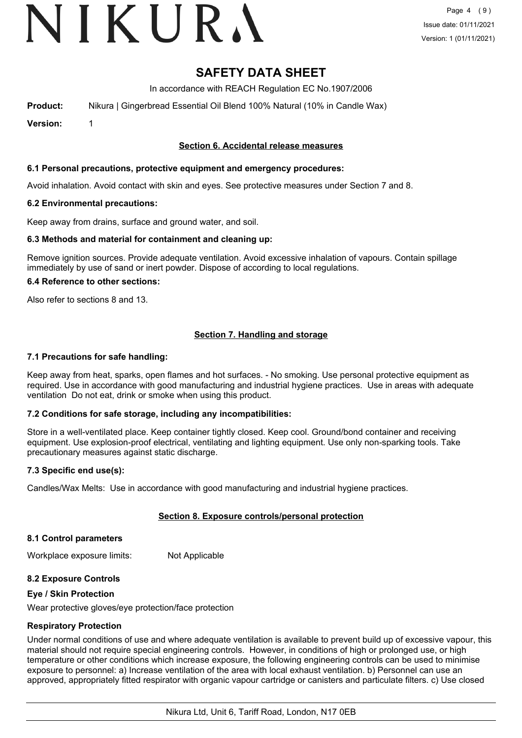# VIKURA

## **SAFETY DATA SHEET**

In accordance with REACH Regulation EC No.1907/2006

**Product:** Nikura | Gingerbread Essential Oil Blend 100% Natural (10% in Candle Wax)

**Version:** 1

### **Section 6. Accidental release measures**

#### **6.1 Personal precautions, protective equipment and emergency procedures:**

Avoid inhalation. Avoid contact with skin and eyes. See protective measures under Section 7 and 8.

#### **6.2 Environmental precautions:**

Keep away from drains, surface and ground water, and soil.

#### **6.3 Methods and material for containment and cleaning up:**

Remove ignition sources. Provide adequate ventilation. Avoid excessive inhalation of vapours. Contain spillage immediately by use of sand or inert powder. Dispose of according to local regulations.

#### **6.4 Reference to other sections:**

Also refer to sections 8 and 13.

### **Section 7. Handling and storage**

#### **7.1 Precautions for safe handling:**

Keep away from heat, sparks, open flames and hot surfaces. - No smoking. Use personal protective equipment as required. Use in accordance with good manufacturing and industrial hygiene practices. Use in areas with adequate ventilation Do not eat, drink or smoke when using this product.

#### **7.2 Conditions for safe storage, including any incompatibilities:**

Store in a well-ventilated place. Keep container tightly closed. Keep cool. Ground/bond container and receiving equipment. Use explosion-proof electrical, ventilating and lighting equipment. Use only non-sparking tools. Take precautionary measures against static discharge.

#### **7.3 Specific end use(s):**

Candles/Wax Melts: Use in accordance with good manufacturing and industrial hygiene practices.

#### **Section 8. Exposure controls/personal protection**

#### **8.1 Control parameters**

Workplace exposure limits: Not Applicable

#### **8.2 Exposure Controls**

#### **Eye / Skin Protection**

Wear protective gloves/eye protection/face protection

#### **Respiratory Protection**

Under normal conditions of use and where adequate ventilation is available to prevent build up of excessive vapour, this material should not require special engineering controls. However, in conditions of high or prolonged use, or high temperature or other conditions which increase exposure, the following engineering controls can be used to minimise exposure to personnel: a) Increase ventilation of the area with local exhaust ventilation. b) Personnel can use an approved, appropriately fitted respirator with organic vapour cartridge or canisters and particulate filters. c) Use closed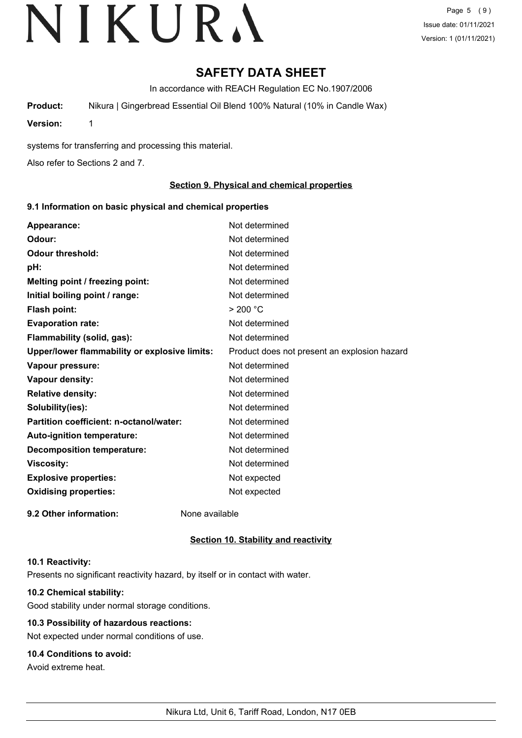Page 5 (9) Issue date: 01/11/2021 Version: 1 (01/11/2021)

## **SAFETY DATA SHEET**

In accordance with REACH Regulation EC No.1907/2006

**Product:** Nikura | Gingerbread Essential Oil Blend 100% Natural (10% in Candle Wax)

**Version:** 1

systems for transferring and processing this material.

Also refer to Sections 2 and 7.

### **Section 9. Physical and chemical properties**

#### **9.1 Information on basic physical and chemical properties**

| Appearance:                                   | Not determined                               |
|-----------------------------------------------|----------------------------------------------|
| Odour:                                        | Not determined                               |
| <b>Odour threshold:</b>                       | Not determined                               |
| pH:                                           | Not determined                               |
| Melting point / freezing point:               | Not determined                               |
| Initial boiling point / range:                | Not determined                               |
| <b>Flash point:</b>                           | > 200 °C                                     |
| <b>Evaporation rate:</b>                      | Not determined                               |
| Flammability (solid, gas):                    | Not determined                               |
| Upper/lower flammability or explosive limits: | Product does not present an explosion hazard |
| Vapour pressure:                              | Not determined                               |
| Vapour density:                               | Not determined                               |
| <b>Relative density:</b>                      | Not determined                               |
| Solubility(ies):                              | Not determined                               |
| Partition coefficient: n-octanol/water:       | Not determined                               |
| Auto-ignition temperature:                    | Not determined                               |
| <b>Decomposition temperature:</b>             | Not determined                               |
| <b>Viscosity:</b>                             | Not determined                               |
| <b>Explosive properties:</b>                  | Not expected                                 |
| <b>Oxidising properties:</b>                  | Not expected                                 |
| 9.2 Other information:                        | None available                               |

#### **Section 10. Stability and reactivity**

#### **10.1 Reactivity:**

Presents no significant reactivity hazard, by itself or in contact with water.

## **10.2 Chemical stability:**

Good stability under normal storage conditions.

## **10.3 Possibility of hazardous reactions:**

Not expected under normal conditions of use.

## **10.4 Conditions to avoid:**

Avoid extreme heat.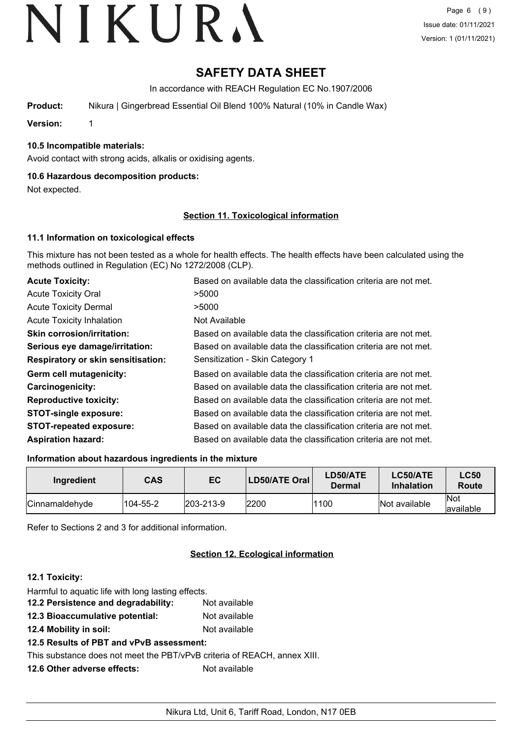# **SAFETY DATA SHEET**

In accordance with REACH Regulation EC No.1907/2006

**Product:** Nikura | Gingerbread Essential Oil Blend 100% Natural (10% in Candle Wax)

**Version:** 1

### **10.5 Incompatible materials:**

Avoid contact with strong acids, alkalis or oxidising agents.

#### **10.6 Hazardous decomposition products:**

Not expected.

#### **Section 11. Toxicological information**

#### **11.1 Information on toxicological effects**

This mixture has not been tested as a whole for health effects. The health effects have been calculated using the methods outlined in Regulation (EC) No 1272/2008 (CLP).

| <b>Acute Toxicity:</b>                    | Based on available data the classification criteria are not met. |
|-------------------------------------------|------------------------------------------------------------------|
| <b>Acute Toxicity Oral</b>                | >5000                                                            |
| <b>Acute Toxicity Dermal</b>              | >5000                                                            |
| <b>Acute Toxicity Inhalation</b>          | Not Available                                                    |
| <b>Skin corrosion/irritation:</b>         | Based on available data the classification criteria are not met. |
| Serious eye damage/irritation:            | Based on available data the classification criteria are not met. |
| <b>Respiratory or skin sensitisation:</b> | Sensitization - Skin Category 1                                  |
| Germ cell mutagenicity:                   | Based on available data the classification criteria are not met. |
| <b>Carcinogenicity:</b>                   | Based on available data the classification criteria are not met. |
| <b>Reproductive toxicity:</b>             | Based on available data the classification criteria are not met. |
| <b>STOT-single exposure:</b>              | Based on available data the classification criteria are not met. |
| <b>STOT-repeated exposure:</b>            | Based on available data the classification criteria are not met. |
| <b>Aspiration hazard:</b>                 | Based on available data the classification criteria are not met. |

#### **Information about hazardous ingredients in the mixture**

| Ingredient     | <b>CAS</b> | EC               | LD50/ATE Oral | LD50/ATE<br><b>Dermal</b> | LC50/ATE<br><b>Inhalation</b> | <b>LC50</b><br><b>Route</b> |
|----------------|------------|------------------|---------------|---------------------------|-------------------------------|-----------------------------|
| Cinnamaldehyde | 104-55-2   | $ 203 - 213 - 9$ | 2200          | 1100                      | Not available                 | <b>Not</b><br>available     |

Refer to Sections 2 and 3 for additional information.

## **Section 12. Ecological information**

#### **12.1 Toxicity:**

| Harmful to aquatic life with long lasting effects.           |               |
|--------------------------------------------------------------|---------------|
| 12.2 Persistence and degradability:                          | Not available |
| 12.3 Bioaccumulative potential:                              | Not available |
| 12.4 Mobility in soil:                                       | Not available |
| 12.5 Results of PBT and vPvB assessment:                     |               |
| This substance does not meet the PBT/vPvB criteria of REACH, |               |
| 12.6 Other adverse effects:                                  | Not available |
|                                                              |               |

annex XIII.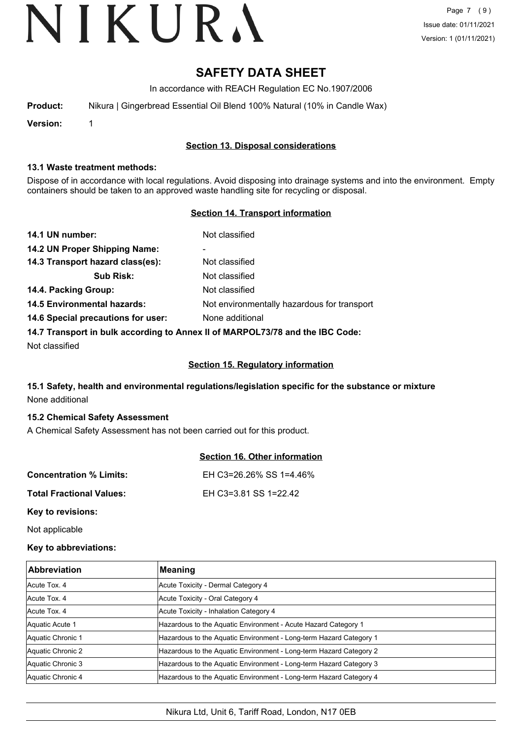Page 7 (9) Issue date: 01/11/2021 Version: 1 (01/11/2021)

# **SAFETY DATA SHEET**

In accordance with REACH Regulation EC No.1907/2006

| <b>Product:</b> |  | Nikura   Gingerbread Essential Oil Blend 100% Natural (10% in Candle Wax) |  |  |  |
|-----------------|--|---------------------------------------------------------------------------|--|--|--|
|-----------------|--|---------------------------------------------------------------------------|--|--|--|

**Version:** 1

### **Section 13. Disposal considerations**

#### **13.1 Waste treatment methods:**

Dispose of in accordance with local regulations. Avoid disposing into drainage systems and into the environment. Empty containers should be taken to an approved waste handling site for recycling or disposal.

#### **Section 14. Transport information**

| 14.1 UN number:                                                               | Not classified                              |  |
|-------------------------------------------------------------------------------|---------------------------------------------|--|
| 14.2 UN Proper Shipping Name:                                                 | ۰                                           |  |
| 14.3 Transport hazard class(es):                                              | Not classified                              |  |
| <b>Sub Risk:</b>                                                              | Not classified                              |  |
| 14.4. Packing Group:                                                          | Not classified                              |  |
| <b>14.5 Environmental hazards:</b>                                            | Not environmentally hazardous for transport |  |
| 14.6 Special precautions for user:                                            | None additional                             |  |
| 14.7 Transport in bulk according to Annex II of MARPOL73/78 and the IBC Code: |                                             |  |

Not classified

#### **Section 15. Regulatory information**

## **15.1 Safety, health and environmental regulations/legislation specific for the substance or mixture** None additional

#### **15.2 Chemical Safety Assessment**

A Chemical Safety Assessment has not been carried out for this product.

|                                 | <b>Section 16. Other information</b> |
|---------------------------------|--------------------------------------|
| <b>Concentration % Limits:</b>  | EH C3=26.26% SS 1=4.46%              |
| <b>Total Fractional Values:</b> | EH C3=3.81 SS 1=22.42                |
| Key to revisions:               |                                      |

Not applicable

#### **Key to abbreviations:**

| <b>Abbreviation</b> | Meaning                                                            |
|---------------------|--------------------------------------------------------------------|
| Acute Tox, 4        | Acute Toxicity - Dermal Category 4                                 |
| Acute Tox. 4        | Acute Toxicity - Oral Category 4                                   |
| Acute Tox, 4        | Acute Toxicity - Inhalation Category 4                             |
| Aquatic Acute 1     | Hazardous to the Aquatic Environment - Acute Hazard Category 1     |
| Aquatic Chronic 1   | Hazardous to the Aquatic Environment - Long-term Hazard Category 1 |
| Aquatic Chronic 2   | Hazardous to the Aquatic Environment - Long-term Hazard Category 2 |
| Aquatic Chronic 3   | Hazardous to the Aquatic Environment - Long-term Hazard Category 3 |
| Aquatic Chronic 4   | Hazardous to the Aquatic Environment - Long-term Hazard Category 4 |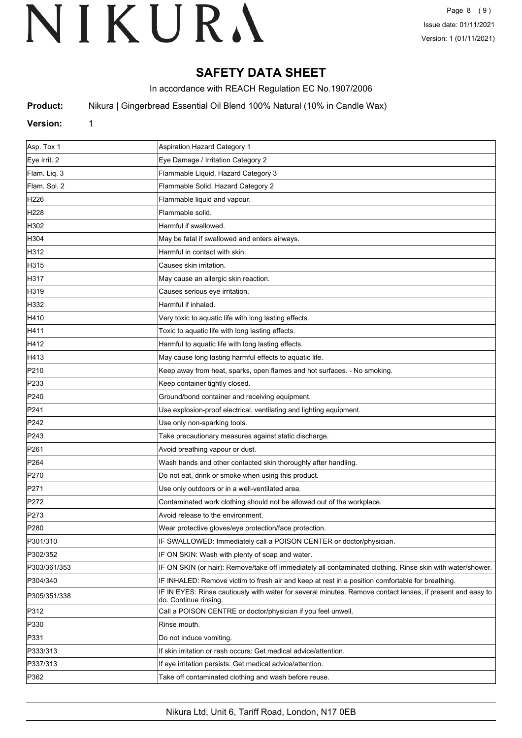# **SAFETY DATA SHEET**

In accordance with REACH Regulation EC No.1907/2006

**Product:** Nikura | Gingerbread Essential Oil Blend 100% Natural (10% in Candle Wax)

### **Version:** 1

| Asp. Tox 1       | Aspiration Hazard Category 1                                                                                                        |
|------------------|-------------------------------------------------------------------------------------------------------------------------------------|
| Eye Irrit. 2     | Eye Damage / Irritation Category 2                                                                                                  |
| Flam. Liq. 3     | Flammable Liquid, Hazard Category 3                                                                                                 |
| Flam. Sol. 2     | Flammable Solid, Hazard Category 2                                                                                                  |
| H226             | Flammable liquid and vapour.                                                                                                        |
| H <sub>228</sub> | Flammable solid.                                                                                                                    |
| H302             | Harmful if swallowed.                                                                                                               |
| H304             | May be fatal if swallowed and enters airways.                                                                                       |
| H312             | Harmful in contact with skin.                                                                                                       |
| H315             | Causes skin irritation.                                                                                                             |
| H317             | May cause an allergic skin reaction.                                                                                                |
| H319             | Causes serious eye irritation.                                                                                                      |
| H332             | Harmful if inhaled.                                                                                                                 |
| H410             | Very toxic to aquatic life with long lasting effects.                                                                               |
| H411             | Toxic to aquatic life with long lasting effects.                                                                                    |
| H412             | Harmful to aquatic life with long lasting effects.                                                                                  |
| H413             | May cause long lasting harmful effects to aquatic life.                                                                             |
| P210             | Keep away from heat, sparks, open flames and hot surfaces. - No smoking.                                                            |
| P233             | Keep container tightly closed.                                                                                                      |
| P240             | Ground/bond container and receiving equipment.                                                                                      |
| P241             | Use explosion-proof electrical, ventilating and lighting equipment.                                                                 |
| P242             | Use only non-sparking tools.                                                                                                        |
| P243             | Take precautionary measures against static discharge.                                                                               |
| P261             | Avoid breathing vapour or dust.                                                                                                     |
| P <sub>264</sub> | Wash hands and other contacted skin thoroughly after handling.                                                                      |
| P270             | Do not eat, drink or smoke when using this product.                                                                                 |
| P271             | Use only outdoors or in a well-ventilated area.                                                                                     |
| P272             | Contaminated work clothing should not be allowed out of the workplace.                                                              |
| P273             | Avoid release to the environment.                                                                                                   |
| P280             | Wear protective gloves/eye protection/face protection.                                                                              |
| P301/310         | IF SWALLOWED: Immediately call a POISON CENTER or doctor/physician.                                                                 |
| P302/352         | IF ON SKIN: Wash with plenty of soap and water.                                                                                     |
| P303/361/353     | IF ON SKIN (or hair): Remove/take off immediately all contaminated clothing. Rinse skin with water/shower.                          |
| P304/340         | IF INHALED: Remove victim to fresh air and keep at rest in a position comfortable for breathing.                                    |
| P305/351/338     | IF IN EYES: Rinse cautiously with water for several minutes. Remove contact lenses, if present and easy to<br>do. Continue rinsing. |
| P312             | Call a POISON CENTRE or doctor/physician if you feel unwell.                                                                        |
| P330             | Rinse mouth.                                                                                                                        |
| P331             | Do not induce vomiting.                                                                                                             |
| P333/313         | If skin irritation or rash occurs: Get medical advice/attention.                                                                    |
| P337/313         | If eye irritation persists: Get medical advice/attention.                                                                           |
| P362             | Take off contaminated clothing and wash before reuse.                                                                               |